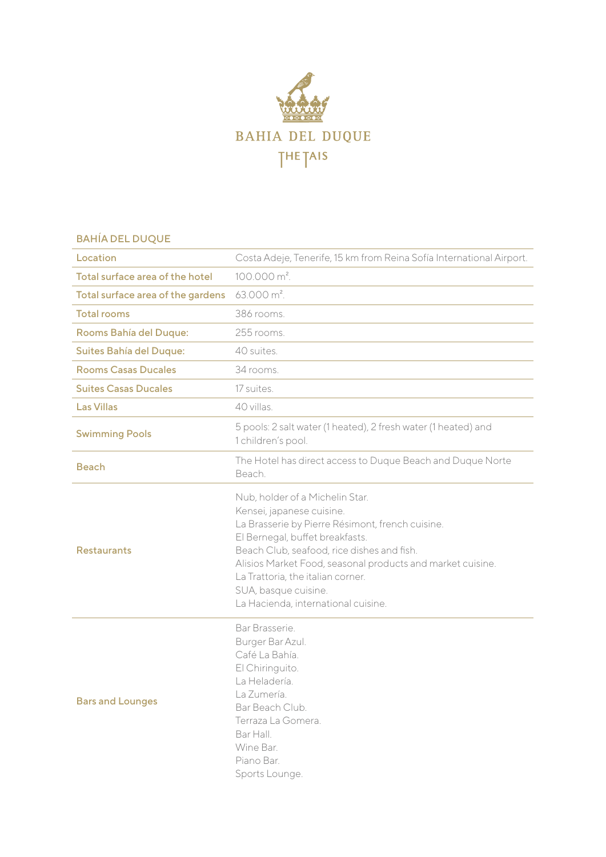

## BAHÍA DEL DUQUE

| Location                          | Costa Adeje, Tenerife, 15 km from Reina Sofía International Airport.                                                                                                                                                                                                                                                                                                |
|-----------------------------------|---------------------------------------------------------------------------------------------------------------------------------------------------------------------------------------------------------------------------------------------------------------------------------------------------------------------------------------------------------------------|
| Total surface area of the hotel   | $100.000 \text{ m}^2$ .                                                                                                                                                                                                                                                                                                                                             |
| Total surface area of the gardens | $63.000 \text{ m}^2$ .                                                                                                                                                                                                                                                                                                                                              |
| <b>Total rooms</b>                | 386 rooms.                                                                                                                                                                                                                                                                                                                                                          |
| Rooms Bahía del Duque:            | 255 rooms.                                                                                                                                                                                                                                                                                                                                                          |
| Suites Bahía del Duque:           | 40 suites.                                                                                                                                                                                                                                                                                                                                                          |
| <b>Rooms Casas Ducales</b>        | 34 rooms.                                                                                                                                                                                                                                                                                                                                                           |
| <b>Suites Casas Ducales</b>       | 17 suites.                                                                                                                                                                                                                                                                                                                                                          |
| <b>Las Villas</b>                 | 40 villas.                                                                                                                                                                                                                                                                                                                                                          |
| <b>Swimming Pools</b>             | 5 pools: 2 salt water (1 heated), 2 fresh water (1 heated) and<br>1 children's pool.                                                                                                                                                                                                                                                                                |
| <b>Beach</b>                      | The Hotel has direct access to Duque Beach and Duque Norte<br>Beach.                                                                                                                                                                                                                                                                                                |
| <b>Restaurants</b>                | Nub, holder of a Michelin Star.<br>Kensei, japanese cuisine.<br>La Brasserie by Pierre Résimont, french cuisine.<br>El Bernegal, buffet breakfasts.<br>Beach Club, seafood, rice dishes and fish.<br>Alisios Market Food, seasonal products and market cuisine.<br>La Trattoria, the italian corner.<br>SUA, basque cuisine.<br>La Hacienda, international cuisine. |
| <b>Bars and Lounges</b>           | Bar Brasserie.<br>Burger Bar Azul.<br>Café La Bahía.<br>El Chiringuito.<br>La Heladería.<br>La Zumería.<br>Bar Beach Club.<br>Terraza La Gomera.<br>Bar Hall.<br>Wine Bar.<br>Piano Bar.<br>Sports Lounge.                                                                                                                                                          |